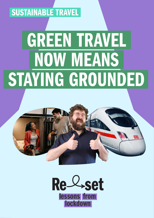## SUSTAINABLE TRAVEL

# GREEN TRAVEL NOW MEANS STAYING GROUNDED



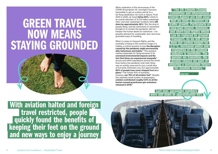## <span id="page-1-0"></span>GREEN TRAVEL NOW MEANS STAYING GROUNDED



 With aviation halted and foreign travel restricted, people **quickly found the benefits of**  keeping their feet on the ground and new ways to enjoy a journey

When realisation of the seriousness of the COVID-19 pandemic hit, overnight it became impossible to get on a plane and fly to a far-flung destination, for work or leisure. From 2019 to 2020, air travel [fell by 60%](https://www.icao.int/sustainability/Documents/Covid-19/ICAO_coronavirus_Econ_Impact.pdf),<sup>[1](#page-3-0)</sup> which is an overall reduction of 2,703 million passenger trips. Last year, passenger numbers were still [down by approximately 49%](https://www.icao.int/sustainability/Documents/Covid-19/ICAO_coronavirus_Econ_Impact.pdf).<sup>[2](#page-3-0)</sup> But the drop in people flying, and the restrictions to movement brought in to contain the pandemic, did not hamper the human desire for adventure – nor people's demand for sustainable, slow and more grounded ways of travelling.

When it comes to frequent flights, and the centrality of flying to the common image of a holiday, a critical question is how [the disruption](https://www.rapidtransition.org/resources/the-reset-series/)  [caused by the pandemic might permanently](https://www.rapidtransition.org/resources/the-reset-series/)  [alter behaviours and habits](https://www.rapidtransition.org/resources/the-reset-series/). [3](#page-3-0) This question matters especially for flying because of its [oversized environmental impacts and the](https://stay-grounded.org/wp-content/uploads/2020/10/SG_Factsheet_Non-CO2_2020.pdf)  [fact that these are experienced unequally](https://stay-grounded.org/wp-content/uploads/2020/10/SG_Factsheet_Non-CO2_2020.pdf) [4](#page-3-0) across and within populations around the world. Even before the pandemic took hold, flying was an activity reserved for just a small slice of humanity. Estimates vary, but approximately [80% of people have never stepped foot on a](https://stay-grounded.org/wp-content/uploads/2020/10/SG_Factsheet_Non-CO2_2020.pdf)  [plane](https://stay-grounded.org/wp-content/uploads/2020/10/SG_Factsheet_Non-CO2_2020.pdf). [5](#page-3-0) The richest 10% of humanity, however, [use 75% of all aviation fuel](https://www.vox.com/energy-and-environment/2020/3/20/21184814/climate-change-energy-income-inequality)<sup>[6](#page-3-0)</sup>. Despite this relatively small number of passengers, [aviation contributed roughly 5.9% to all the](https://stay-grounded.org/wp-content/uploads/2020/10/SG_Factsheet_Non-CO2_2020.pdf)  [released in 2018](https://stay-grounded.org/wp-content/uploads/2020/10/SG_Factsheet_Non-CO2_2020.pdf). [7](#page-3-0)





**Finlay Asher, [Safe Landing](https://protect-eu.mimecast.com/s/MrzNC0LX1ho2zn7uwrqai?domain=safe-landing.org)** 

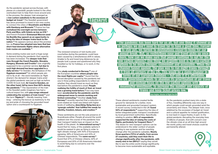"The pandemic has been hard for us all, but one thing it showed us is perhaps we don't need to travel far to have a good time. Forced to stay put, we turned to destinations closer-to-home for our annual break. But, as restrictions ease and travel picks up once more, how can we make sure that people continue to opt for the low carbon options? One thing we urgently need is for low-carbon options to be much cheaper, convenient and accessible. When the channel tunnel opened, the plan was to run night trains through it from all corners of the UK. This would be a game-changer in terms of our European holidays – but only if it's affordable. The UK government needs to abandon its prioritisation of air travel **and instead focus on the low carbon options with**  meaningful investment, to increase the number and capacity of trains and keep ticket prices low."

Anna Hughes, director of Flight Free UK

These altered sentiments created fertile ground for demands for a better, more sustainable and grounded transport system. A recent survey conducted in the UK [found](https://demos.co.uk/wp-content/uploads/2021/10/Climate-Consensus-Report.pdf)  [93% of respondents](https://demos.co.uk/wp-content/uploads/2021/10/Climate-Consensus-Report.pdf)<sup>[28](#page-4-0)</sup> supporting the idea of better-integrated public transport coordinated by local government authorities. Specifically relating to aviation, [89% of respondents](https://demos.co.uk/wp-content/uploads/2021/10/Climate-Consensus-Report.pdf)  [supported the idea of raising the costs of](https://demos.co.uk/wp-content/uploads/2021/10/Climate-Consensus-Report.pdf)  [flights, particularly for frequent fliers](https://demos.co.uk/wp-content/uploads/2021/10/Climate-Consensus-Report.pdf). [29](#page-4-0) The desire for new transport options can be understood in the wider context of people wanting to see systemic and far-reaching change after the pandemic subsides. [Nearly](https://www.ipsos.com/en/global-survey-unveils-profound-desire-change-rather-return-how-life-and-world-were-covid-19)  [three-quarters \(72%\) of adults, from across](https://www.ipsos.com/en/global-survey-unveils-profound-desire-change-rather-return-how-life-and-world-were-covid-19)  [27 countries, said they want their life to](https://www.ipsos.com/en/global-survey-unveils-profound-desire-change-rather-return-how-life-and-world-were-covid-19)  [change significantly after the pandemic, with](https://www.ipsos.com/en/global-survey-unveils-profound-desire-change-rather-return-how-life-and-world-were-covid-19)  [nearly nine in ten \(86%\)](https://www.ipsos.com/en/global-survey-unveils-profound-desire-change-rather-return-how-life-and-world-were-covid-19)<sup>[30](#page-4-0)</sup> saying they would like to see the entire world change significantly to become more sustainable and equitable.



As the pandemic pushed many into a state of flux, travelling differently was one way in which people could remain grounded amid the uncertainty and chaos. The sleeper train, once sidelined by the excesses of budget air travel and a cultural appetite for instant gratification, is now back in vogue thanks, in part, to the global pandemic disrupting the everyday lives of billions of people. And with concern over the climate crisis at an all time high around the world, policy and travel choices could be permanently altered.





One [study conducted in Norway](https://www.tandfonline.com/doi/epub/10.1080/14616688.2021.1943703?needAccess=true),<sup>[20](#page-3-0)</sup> one of the European countries [where people take](https://www.tandfonline.com/doi/full/10.1080/15487733.2022.2043682)  [the most flights per capita](https://www.tandfonline.com/doi/full/10.1080/15487733.2022.2043682),<sup>[21](#page-3-0)</sup> found that the forced disruption caused by the pandemic led one in three polling respondents to reflect on whether they should travel as much as they had before the pandemic's onset. [People](https://ora.ox.ac.uk/objects/uuid:1d10162e-137a-438a-9ea3-1df6e198c974)  [realising the futility of much of their air travel](https://ora.ox.ac.uk/objects/uuid:1d10162e-137a-438a-9ea3-1df6e198c974)  [was a growing trend before](https://ora.ox.ac.uk/objects/uuid:1d10162e-137a-438a-9ea3-1df6e198c974),<sup>[22](#page-3-0)</sup> but may have been [accelerated by the pandemic and the](https://www.tandfonline.com/doi/full/10.1080/15487733.2022.2043682)  [widespread move to remote working and](https://www.tandfonline.com/doi/full/10.1080/15487733.2022.2043682)  [limited commuting](https://www.tandfonline.com/doi/full/10.1080/15487733.2022.2043682). [23](#page-3-0) Another [study from](https://www.tandfonline.com/doi/full/10.1080/15487733.2022.2043682)  [Norway](https://www.tandfonline.com/doi/full/10.1080/15487733.2022.2043682) [24](#page-3-0) recently reported that a reduction in work-related air travel was linked with higher levels of wellbeing, [describing](https://www.tandfonline.com/doi/full/10.1080/15487733.2022.2043682) *[flying less](https://www.tandfonline.com/doi/full/10.1080/15487733.2022.2043682)* as a ['synergic satisfier' that fulfilled the needs for](https://www.tandfonline.com/doi/full/10.1080/15487733.2022.2043682)  [identity, freedom, leisure, and creation](https://www.tandfonline.com/doi/full/10.1080/15487733.2022.2043682). [25](#page-3-0)

<span id="page-2-0"></span>As the pandemic spread across Europe, with planes at a standstill, people looked to the often overlooked train to help them move around and, in the process, the sleeper train emerged as a [low-carbon substitute to the excesses of](https://www.theguardian.com/world/2020/jul/27/covid-19-reawakens-europe-sleeper-trains)  **[budget air travel](https://www.theguardian.com/world/2020/jul/27/covid-19-reawakens-europe-sleeper-trains).**<sup>[9](#page-3-0)</sup> The Swedish government has since promised to invest in two new routes to connect the cities of [Stockholm and Malmö](https://www.timeout.com/news/this-new-sleeper-train-will-take-you-all-the-way-from-stockholm-to-hamburg-022322)  [with Hamburg and Brussels](https://www.timeout.com/news/this-new-sleeper-train-will-take-you-all-the-way-from-stockholm-to-hamburg-022322).<sup>[10](#page-3-0)</sup> France too has [revitalised the overnight service between](https://www.sncf.com/en/passenger-offer/travel-by-train/paris-nice-overnight-train-from-19-euros)  Paris and Nice, with tickets as low as  $\mathbf{\mathfrak{C}}$ 19, $^{\mathsf{11}}$  $^{\mathsf{11}}$  $^{\mathsf{11}}$ and French President [Emmanuel Macron used](https://www.euronews.com/2020/07/24/night-trains-overnight-rail-travel-getting-back-on-track-in-france)  [his Bastille Day speech as an opportunity to](https://www.euronews.com/2020/07/24/night-trains-overnight-rail-travel-getting-back-on-track-in-france)  [bring the idea of sleeper trains back to the](https://www.euronews.com/2020/07/24/night-trains-overnight-rail-travel-getting-back-on-track-in-france)  [nation](https://www.euronews.com/2020/07/24/night-trains-overnight-rail-travel-getting-back-on-track-in-france).<sup>[12](#page-3-0)</sup> He appears serious about this promise too, as [France has adopted new laws that ban](https://www.forbes.com/sites/christopherelliott/2022/02/16/eurail-ceo-shift-away-from-short-haul-flights-makes-european-trains-more-appealing/?sh=2061d0b62baa)  [short-haul domestic flights where alternative](https://www.forbes.com/sites/christopherelliott/2022/02/16/eurail-ceo-shift-away-from-short-haul-flights-makes-european-trains-more-appealing/?sh=2061d0b62baa)  [train routes are available](https://www.forbes.com/sites/christopherelliott/2022/02/16/eurail-ceo-shift-away-from-short-haul-flights-makes-european-trains-more-appealing/?sh=2061d0b62baa). [13](#page-3-0)

Some existing routes saw such a huge surge in demand during the pandemic that capacity has been increased. The sleeper train that [runs through the Czech Republic, Slovakia,](https://www.railtech.com/policy/2020/07/02/regiojet-launches-five-country-train-to-adriatic-sea/)  [Hungary, Slovenia and Croatia](https://www.railtech.com/policy/2020/07/02/regiojet-launches-five-country-train-to-adriatic-sea/)<sup>[14](#page-3-0)</sup> was originally supposed to be a summer service, but due to [such high demand has been upgraded to a](https://www.theguardian.com/world/2020/jul/27/covid-19-reawakens-europe-sleeper-trains)  [daily service](https://www.theguardian.com/world/2020/jul/27/covid-19-reawakens-europe-sleeper-trains).<sup>[15](#page-3-0)</sup> In Sweden, the birthplace of the [flygskam movement](https://www.independent.co.uk/travel/news-and-advice/flygskam-anti-flying-flight-shaming-sweden-greta-thornberg-environment-air-travel-train-brag-tagskryt-a8945196.html)<sup>[16](#page-3-0)</sup> (in which people aim not to fly at all – the word translates as 'flight shame'), the demand for sleeper trains amid the global pandemic was just as high as before COVID-19 took hold. [Air travel in Sweden, on](https://www.swedavia.com/visby/press/swedavias-traffic-statistics-for-july-2020-passenger-volume-down-87-per-cent/#gref)  [the other hand, fell by more than 80% during](https://www.swedavia.com/visby/press/swedavias-traffic-statistics-for-july-2020-passenger-volume-down-87-per-cent/#gref)  [the pandemic](https://www.swedavia.com/visby/press/swedavias-traffic-statistics-for-july-2020-passenger-volume-down-87-per-cent/#gref).<sup>[17](#page-3-0)</sup> The rejuvenation of the train in the Swedish public imaginary has had a cultural impact too, with [pop songs released](https://open.spotify.com/album/7BtDGXxR0eVKXJb7t3jdfr?highlight=spotify:track:6AmXtz8CoUpH0AXvRSucLx)  [celebrating the wonders of train travel](https://open.spotify.com/album/7BtDGXxR0eVKXJb7t3jdfr?highlight=spotify:track:6AmXtz8CoUpH0AXvRSucLx),<sup>[18](#page-3-0)</sup> and the term [Tågskryt](https://www.forbes.com/sites/enriquedans/2021/06/28/when-it-comes-to-travel-do-you-have-flygskam-or-are-you-tgskryt/?sh=12e3283f23e3)<sup>[19](#page-3-0)</sup> – literally meaning 'train brag' – entering the lexicon as testimony to the joy and pride of choosing the grounded travel option and a counterpoint to flygskam.

The renewed romance of twin bunks and couchettes during the pandemic could have been caused by a simultaneous shift in values. Unable to fly and travel long distances by air, people took a pause and questioned why they travelled so far for holidays, or to work, in the first place.

These sentiments are not the sole preserve of Scandinavia either. People all around the world realised over the course of the pandemic how their transport habits have an impact on the health of the planet. An [international survey](https://www.eib.org/en/surveys/climate-survey/3rd-climate-survey/what-to-give-up-for-climate-change.htm)<sup>[26](#page-4-0)</sup> found that for many, of the available options it would be easiest to give up flying in order to fight climate change, with 40% of Europeans agreeing, 38% of Americans and 43% of Chinese respondents. The [same survey](https://www.eib.org/en/surveys/climate-survey/3rd-climate-survey/what-to-give-up-for-climate-change.htm) [27](#page-4-0) found that 37% of Chinese citizens, 22% of Europeans and 22% of US Americans intended to avoid flying due to concerns over the climate crisis.

[Tågskryt](https://www.forbes.com/sites/enriquedans/2021/06/28/when-it-comes-to-travel-do-you-have-flygskam-or-are-you-tgskryt/?sh=12e3283f23e3)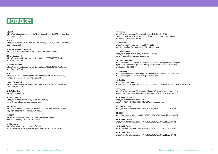<span id="page-3-0"></span>

#### [13](#page-2-0). Forbes

https://www.forbes.com/sites/christopherelliott/2022/02/16/ eurail-ceo-shift-away-from-short-haul-flights-makes-european-trains-moreappealing/?sh=4824f83f2baa

[14.](#page-2-0) Railtech https://www.railtech.com/policy/2020/07/02/ regiojet-launches-five-country-train-to-adriatic-sea/

[15](#page-2-0). The Guardian https://www.theguardian.com/world/2020/jul/27/ covid-19-reawakens-europe-sleeper-trains

[16.](#page-2-0) The Independent https://www.independent.co.uk/travel/news-and-advice/flygskam-anti-flyingflight-shaming-sweden-greta-thornberg-environment-air-travel-train-bragtagskryt-a8945196.html

[17](#page-2-0). Swedavia https://www.swedavia.com/visby/press/swedavias-traffic-statistics-for-july-2020-passenger-volume-down-87-per-cent/#gref

[19.](#page-2-0) Forbes https://www.forbes.com/sites/enriquedans/2021/06/28/when-it-comes-totravel-do-you-have-flygskam-or-are-you-tgskryt/?sh=55b9d1223e38

[20.](#page-2-0) T and F Online https://www.tandfonline.com/doi/ epub/10.1080/14616688.2021.1943703?needAccess=true

[21](#page-2-0). T and F Online https://www.tandfonline.com/doi/full/10.1080/15487733.2022.2043682

[22](#page-2-0). ORA https://ora.ox.ac.uk/objects/uuid:1d10162e-137a-438a-9ea3-1df6e198c974

[23](#page-2-0). T and F Online https://www.tandfonline.com/doi/full/10.1080/15487733.2022.2043682

[24](#page-2-0). T and F Online https://www.tandfonline.com/doi/full/10.1080/15487733.2022.2043682

[25](#page-2-0). T and F Online https://www.tandfonline.com/doi/full/10.1080/15487733.2022.2043682

#### [1](#page-1-0). ICAO

https://www.icao.int/sustainability/Documents/Covid-19/ICAO\_coronavirus\_ Econ\_Impact.pdf

#### [2](#page-1-0). ICAO

https://www.icao.int/sustainability/Documents/Covid-19/ICAO\_coronavirus\_ Econ\_Impact.pdf

[3](#page-1-0). Rapid Transition Alliance https://www.rapidtransition.org/resources/the-reset-series/

> [18.](#page-2-0) Spotify album/7BtDGXxR0eVKXJb7t3jdfr?highlight=spotify:track:6AmXtz8CoUpH0AXvRSucLx https://open.spotify.com/

[4.](#page-1-0)Stay Grounded https://stay-grounded.org/wp-content/uploads/2020/10/SG\_Factsheet\_ Non-CO2\_2020.pdf

[5](#page-1-0). Stay Grounded https://stay-grounded.org/wp-content/uploads/2020/10/SG\_Factsheet\_ Non-CO2\_2020.pdf

[6.](#page-1-0) VOX https://www.vox.com/energy-and-environment/2020/3/20/21184814/ climate-change-energy-income-inequality

[7](#page-1-0). Stay Grounded https://stay-grounded.org/wp-content/uploads/2020/10/SG\_Factsheet\_ Non-CO2\_2020.pdf

[8](#page-1-0). Safe Landing https://safe-landing.org

[9](#page-2-0). The Guardian https://www.theguardian.com/world/2020/jul/27/ covid-19-reawakens-europe-sleeper-trains

[10](#page-2-0). Time Out https://www.timeout.com/news/this-new-sleeper-train-will-take-you-all-theway-from-stockholm-to-hamburg-022322

[11.](#page-2-0) SNFC https://www.sncf.com/en/passenger-offer/travel-by-train/ paris-nice-overnight-train-from-19-euros

[12](#page-2-0). Euronews https://www.euronews.com/2020/07/24/ night-trains-overnight-rail-travel-getting-back-on-track-in-france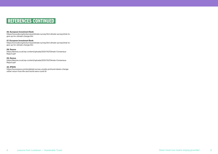### <span id="page-4-0"></span>REFERENCES CONTINUED

#### [26.](#page-2-0) European Investment Bank

https://www.eib.org/en/surveys/climate-survey/3rd-climate-survey/what-togive-up-for-climate-change.htm

#### [27](#page-2-0). European Investment Bank

https://demos.co.uk/wp-content/uploads/2021/10/Climate-Consensus-Report.pdf

https://www.eib.org/en/surveys/climate-survey/3rd-climate-survey/what-togive-up-for-climate-change.htm

#### [28.](#page-2-0) Demos

https://demos.co.uk/wp-content/uploads/2021/10/Climate-Consensus-Report.pdf

#### [29.](#page-2-0) Demos

#### [30](#page-2-0). IPSOS

https://www.ipsos.com/en/global-survey-unveils-profound-desire-changerather-return-how-life-and-world-were-covid-19